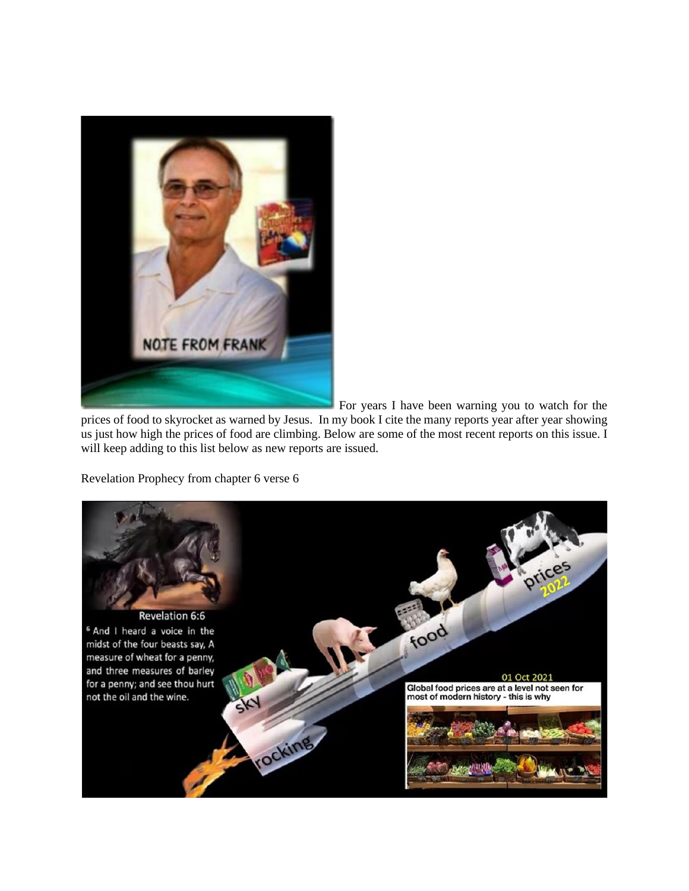

For years I have been warning you to watch for the

prices of food to skyrocket as warned by Jesus. In my book I cite the many reports year after year showing us just how high the prices of food are climbing. Below are some of the most recent reports on this issue. I will keep adding to this list below as new reports are issued.

Revelation Prophecy from chapter 6 verse 6

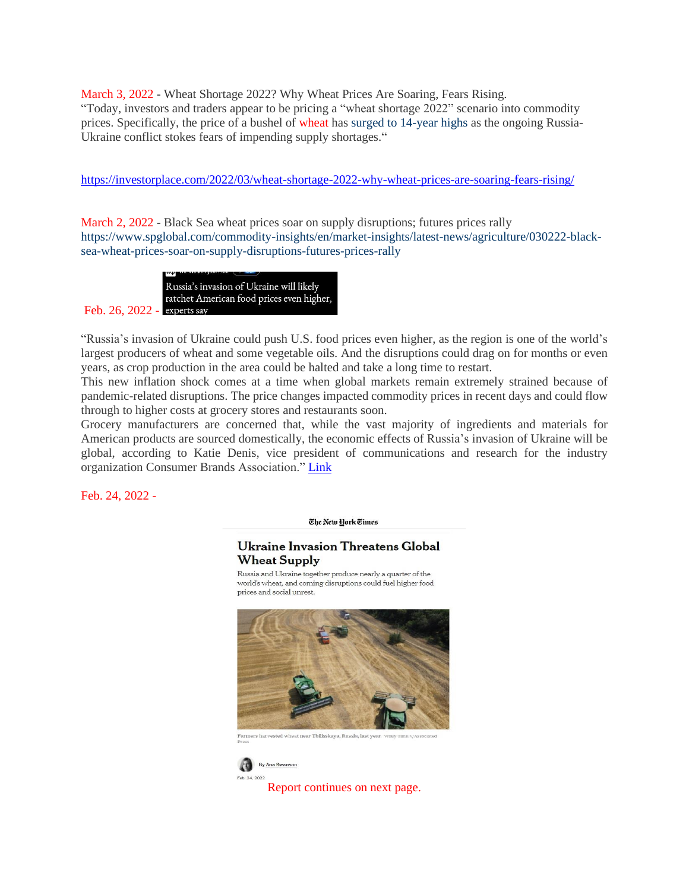March 3, 2022 - Wheat Shortage 2022? Why Wheat Prices Are Soaring, Fears Rising. "Today, investors and traders appear to be pricing a "wheat shortage 2022" scenario into commodity prices. Specifically, the price of a bushel of wheat has surged to [14-year](https://www.marketwatch.com/story/wheat-futures-surge-to-14-year-high-on-fears-of-war-driven-supply-shortages-11646226097) highs as the ongoing Russia-Ukraine conflict stokes fears of impending supply shortages."

<https://investorplace.com/2022/03/wheat-shortage-2022-why-wheat-prices-are-soaring-fears-rising/>

March 2, 2022 - Black Sea wheat prices soar on supply disruptions; futures prices rally [https://www.spglobal.com/commodity-insights/en/market-insights/latest-news/agriculture/030222-black](https://www.spglobal.com/commodity-insights/en/market-insights/latest-news/agriculture/030222-black-sea-wheat-prices-soar-on-supply-disruptions-futures-prices-rally)[sea-wheat-prices-soar-on-supply-disruptions-futures-prices-rally](https://www.spglobal.com/commodity-insights/en/market-insights/latest-news/agriculture/030222-black-sea-wheat-prices-soar-on-supply-disruptions-futures-prices-rally)

Russia's invasion of Ukraine will likely ratchet American food prices even higher, Feb. 26, 2022 - experts say

"Russia's invasion of Ukraine could push U.S. food prices even higher, as the region is one of the world's largest producers of wheat and some vegetable oils. And the disruptions could drag on for months or even years, as crop production in the area could be halted and take a long time to restart.

This new inflation shock comes at a time when global markets remain extremely strained because of pandemic-related disruptions. The price changes impacted commodity prices in recent days and could flow through to higher costs at grocery stores and restaurants soon.

Grocery manufacturers are concerned that, while the vast majority of ingredients and materials for American products are sourced domestically, the economic effects of Russia's invasion of Ukraine will be global, according to Katie Denis, vice president of communications and research for the industry organization Consumer Brands Association." [Link](https://lafarmbureaunews.com/news/2022/2/26/russias-invasion-of-ukraine-will-likely-ratchet-american-food-prices-even-higher-experts-say#:~:text=Russia)

Feb. 24, 2022 -

The New York Times

# Ukraine Invasion Threatens Global **Wheat Supply**

Russia and Ukraine together produce nearly a quarter of the world's wheat, and coming disruptions could fuel higher food prices and social unrest.



.<br>Farmers harvested wheat near Tbilisskaya, Russia, last



Report continues on next page.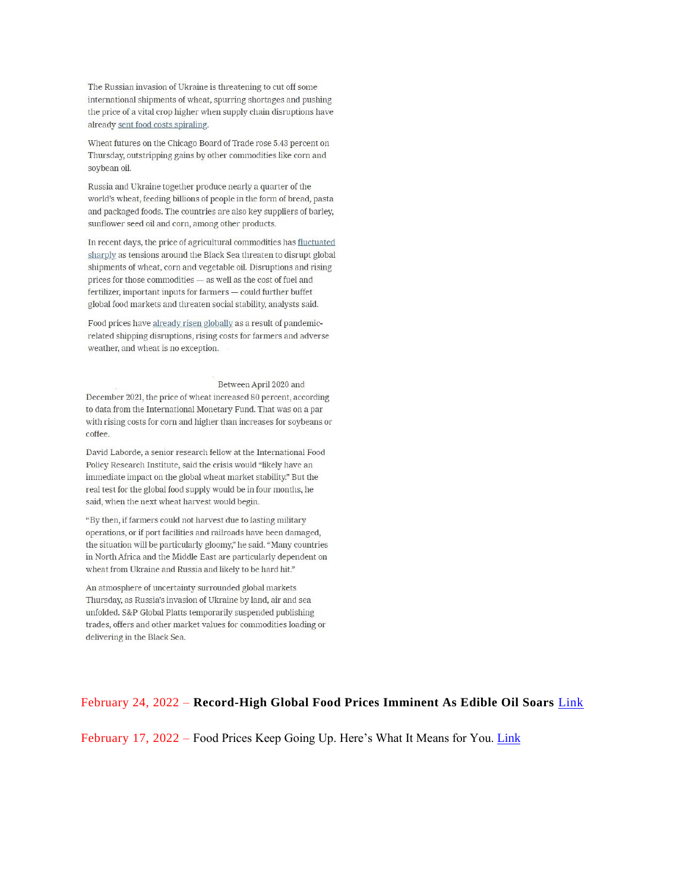The Russian invasion of Ukraine is threatening to cut off some international shipments of wheat, spurring shortages and pushing the price of a vital crop higher when supply chain disruptions have already sent food costs spiraling.

Wheat futures on the Chicago Board of Trade rose 5.43 percent on Thursday, outstripping gains by other commodities like corn and soybean oil.

Russia and Ukraine together produce nearly a quarter of the world's wheat, feeding billions of people in the form of bread, pasta and packaged foods. The countries are also key suppliers of barley, sunflower seed oil and corn, among other products.

In recent days, the price of agricultural commodities has fluctuated sharply as tensions around the Black Sea threaten to disrupt global shipments of wheat, corn and vegetable oil. Disruptions and rising prices for those commodities - as well as the cost of fuel and fertilizer, important inputs for farmers - could further buffet global food markets and threaten social stability, analysts said.

Food prices have already risen globally as a result of pandemicrelated shipping disruptions, rising costs for farmers and adverse weather, and wheat is no exception.

#### Between April 2020 and

December 2021, the price of wheat increased 80 percent, according to data from the International Monetary Fund. That was on a par with rising costs for corn and higher than increases for soybeans or coffee.

David Laborde, a senior research fellow at the International Food Policy Research Institute, said the crisis would "likely have an immediate impact on the global wheat market stability." But the real test for the global food supply would be in four months, he said, when the next wheat harvest would begin.

"By then, if farmers could not harvest due to lasting military operations, or if port facilities and railroads have been damaged, the situation will be particularly gloomy," he said. "Many countries in North Africa and the Middle East are particularly dependent on wheat from Ukraine and Russia and likely to be hard hit."

An atmosphere of uncertainty surrounded global markets Thursday, as Russia's invasion of Ukraine by land, air and sea unfolded. S&P Global Platts temporarily suspended publishing trades, offers and other market values for commodities loading or delivering in the Black Sea.

## February 24, 2022 - Record-High Global Food Prices Imminent As Edible Oil Soars Link

February 17, 2022 – Food Prices Keep Going Up. Here's What It Means for You. Link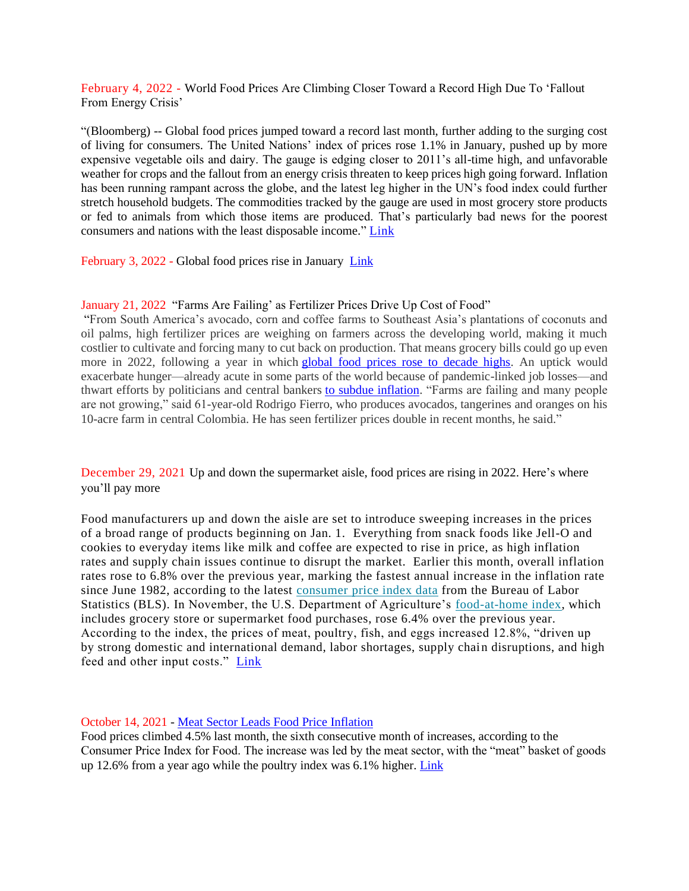February 4, 2022 - World Food Prices Are Climbing Closer Toward a Record High Due To 'Fallout From Energy Crisis'

"(Bloomberg) -- Global food prices jumped toward a record last month, further adding to the surging cost of living for consumers. The United Nations' index of prices rose 1.1% in January, pushed up by more expensive vegetable oils and dairy. The gauge is edging closer to 2011's all-time high, and unfavorable weather for crops and the fallout from an energy crisis threaten to keep prices high going forward. Inflation has been running rampant across the globe, and the latest leg higher in the UN's food index could further stretch household budgets. The commodities tracked by the gauge are used in most grocery store products or fed to animals from which those items are produced. That's particularly bad news for the poorest consumers and nations with the least disposable income." [Link](https://finance.yahoo.com/news/world-food-prices-climbing-closer-095351142.html)

February 3, 2022 - Global food prices rise in January [Link](https://www.fao.org/newsroom/detail/global-food-prices-rise-in-january-2022/en)

### January 21, 2022 "Farms Are Failing' as Fertilizer Prices Drive Up Cost of Food"

"From South America's avocado, corn and coffee farms to Southeast Asia's plantations of coconuts and oil palms, high fertilizer prices are weighing on farmers across the developing world, making it much costlier to cultivate and forcing many to cut back on production. That means grocery bills could go up even more in 2022, following a year in which [global food prices rose to decade highs.](https://www.wsj.com/articles/global-food-prices-surge-as-inflation-spreads-11636119367?mod=article_inline) An uptick would exacerbate hunger—already acute in some parts of the world because of pandemic-linked job losses—and thwart efforts by politicians and central bankers [to subdue inflation.](https://www.wsj.com/articles/central-banks-around-the-world-raise-rates-as-fed-prepares-move-11639750006?mod=article_inline) "Farms are failing and many people are not growing," said 61-year-old Rodrigo Fierro, who produces avocados, tangerines and oranges on his 10-acre farm in central Colombia. He has seen fertilizer prices double in recent months, he said."

December 29, 2021 Up and down the supermarket aisle, food prices are rising in 2022. Here's where you'll pay more

Food manufacturers up and down the aisle are set to introduce sweeping increases in the prices of a broad range of products beginning on Jan. 1. Everything from snack foods like Jell-O and cookies to everyday items like milk and coffee are expected to rise in price, as high inflation rates and supply chain issues continue to disrupt the market. Earlier this month, overall inflation rates rose to 6.8% over the previous year, marking the fastest annual increase in the inflation rate since June 1982, according to the latest [consumer](https://www.bls.gov/news.release/cpi.nr0.htm) price index data from the Bureau of Labor Statistics (BLS). In November, the U.S. Department of Agriculture's [food-at-home](https://www.ers.usda.gov/data-products/food-price-outlook/summary-findings/) index, which includes grocery store or supermarket food purchases, rose 6.4% over the previous year. According to the index, the prices of meat, poultry, fish, and eggs increased 12.8%, "driven up by strong domestic and international demand, labor shortages, supply chain disruptions, and high feed and other input costs." [Link](https://fortune.com/2021/12/29/supermarket-food-prices-inflation-2022-kraft-heinz-modelez-general-mills/#:~:text=According%20to%20research%20firm%20IRI,increases%2C%E2%80%9D%20IRI)

### October 14, 2021 - [Meat Sector Leads Food Price Inflation](https://www.agweb.com/news/livestock/beef/meat-sector-leads-food-price-inflation)

Food prices climbed 4.5% last month, the sixth consecutive month of increases, according to the Consumer Price Index for Food. The increase was led by the meat sector, with the "meat" basket of goods up 12.6% from a year ago while the poultry index was 6.1% higher. [Link](https://www.agweb.com/news/livestock/beef/meat-sector-leads-food-price-inflation)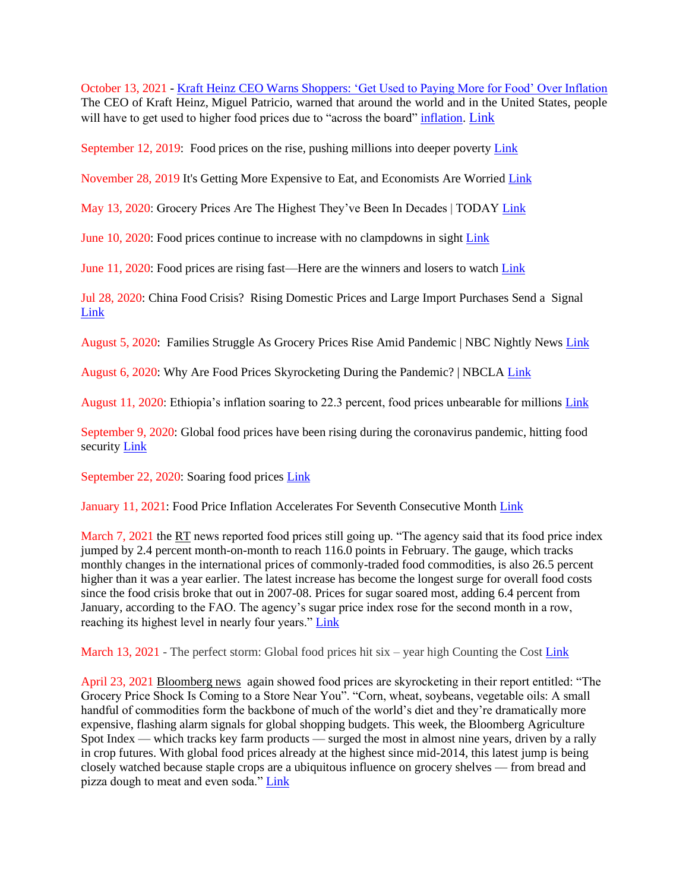October 13, 2021 - [Kraft Heinz CEO Warns Shoppers: 'Get Used to Paying More for Food' Over Inflation](https://www.ntd.com/kraft-heinz-ceo-warns-shoppers-get-used-to-paying-more-for-food-over-inflation_688217.html) The CEO of Kraft Heinz, Miguel Patricio, warned that around the world and in the United States, people will have to get used to higher food prices due to "across the board" [inflation.](https://www.ntd.com/inflation.htm) [Link](file:///C:/Users/test/Desktop/Jesus/inflation.%20https:/www.ntd.com/kraft-heinz-ceo-warns-shoppers-get-used-to-paying-more-for-food-over-inflation_688217.html)

September 12, 2019: Food prices on the rise, pushing millions into deeper poverty [Link](https://www.ethiopiaobserver.com/2019/09/12/food-prices-on-the-rise-pushing-millions-into-deeper-poverty/)

November 28, 2019 It's Getting More Expensive to Eat, and Economists Are Worried [Link](https://www.bloombergquint.com/global-economics/food-prices-are-surging-across-the-world-s-top-emerging-markets)

May 13, 2020: Grocery Prices Are The Highest They've Been In Decades | TODAY [Link](https://www.youtube.com/watch?v=IjwglJ-QrLo)

June 10, 2020: Food prices continue to increase with no clampdowns in sight [Link](https://www.dailymaverick.co.za/article/2020-06-10-food-prices-continue-to-increase-exponentially-with-no-price-clampdowns-in-sight/)

June 11, 2020: Food prices are rising fast—Here are the winners and losers to watch [Link](https://www.cnbc.com/video/2020/06/11/food-prices-are-rising-fasthere-are-the-winners-and-losers-to-watch.html)

Jul 28, 2020: China Food Crisis? Rising Domestic Prices and Large Import Purchases Send a Signal [Link](https://www.forbes.com/sites/salgilbertie/2020/07/28/china-food-crisis-rising-domestic-prices-and-large-import-purchases-send-a-signal/#35331de51bcb)

August 5, 2020: Families Struggle As Grocery Prices Rise Amid Pandemic | NBC Nightly News [Link](https://www.youtube.com/watch?v=Cpl3lM_CQZ0)

August 6, 2020: Why Are Food Prices Skyrocketing During the Pandemic? | NBCLA [Link](https://www.youtube.com/watch?v=LtqFVULImZU)

August 11, 2020: Ethiopia's inflation soaring to 22.3 percent, food prices unbearable for millions [Link](https://borkena.com/2020/08/11/ethiopias-inflation-soaring-to-22-3-percent-food-prices-reaching-unbearable-stage/)

September 9, 2020: Global food prices have been rising during the coronavirus pandemic, hitting food security [Link](https://www.cnbc.com/2020/09/09/global-food-prices-have-been-rising-during-pandemic-hitting-food-security.html)

September 22, 2020: Soaring food prices [Link](https://www.aljazeera.com/news/2020/09/soaring-food-prices-hit-sudanese-floods-ravage-country-200922090319701.html)

January 11, 2021: Food Price Inflation Accelerates For Seventh Consecutive Month [Link](file:///C:/Users/test/Desktop/Jesus/Food%20price%20inflation%20accelerates%20for%20seventh%20consecutive%20month%20(noqreport.com))

March 7, 2021 the RT news reported food prices still going up. "The agency said that its food price index jumped by 2.4 percent month-on-month to reach 116.0 points in February. The gauge, which tracks monthly changes in the international prices of commonly-traded food commodities, is also 26.5 percent higher than it was a year earlier. The latest increase has become the longest surge for overall food costs since the food crisis broke that out in 2007-08. Prices for sugar soared most, adding 6.4 percent from January, according to the FAO. The agency's sugar price index rose for the second month in a row, reaching its highest level in nearly four years." [Link](https://truepundit.com/food-price-inflation-accelerates-for-seventh-consecutive-month/)

March 13, 2021 - The perfect storm: Global food prices hit six – year high Counting the Cos[t Link](https://www.msn.com/en-us/news/video/the-perfect-storm-global-food-prices-hit-six-year-high-counting-the-cost/vp-BB1exyGK)

April 23, 2021 Bloomberg news again showed food prices are skyrocketing in their report entitled: "The Grocery Price Shock Is Coming to a Store Near You". "Corn, wheat, soybeans, vegetable oils: A small handful of commodities form the backbone of much of the world's diet and they're dramatically more expensive, flashing alarm signals for global shopping budgets. This week, the Bloomberg Agriculture Spot Index — which tracks key farm products — surged the most in almost nine years, driven by a rally in crop futures. With global food prices already at the highest since mid-2014, this latest jump is being closely watched because staple crops are a ubiquitous influence on grocery shelves — from bread and pizza dough to meat and even soda." [Link](https://www.msn.com/en-us/money/markets/the-grocery-price-shock-is-coming-to-a-store-near-you/ar-BB1fZDaC)